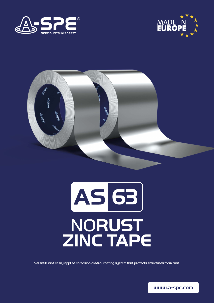





# AS 63 NORUST ZINC TAPE

Versatile and easily applied corrosion control coating system that protects structures from rust.

www.a-spe.com